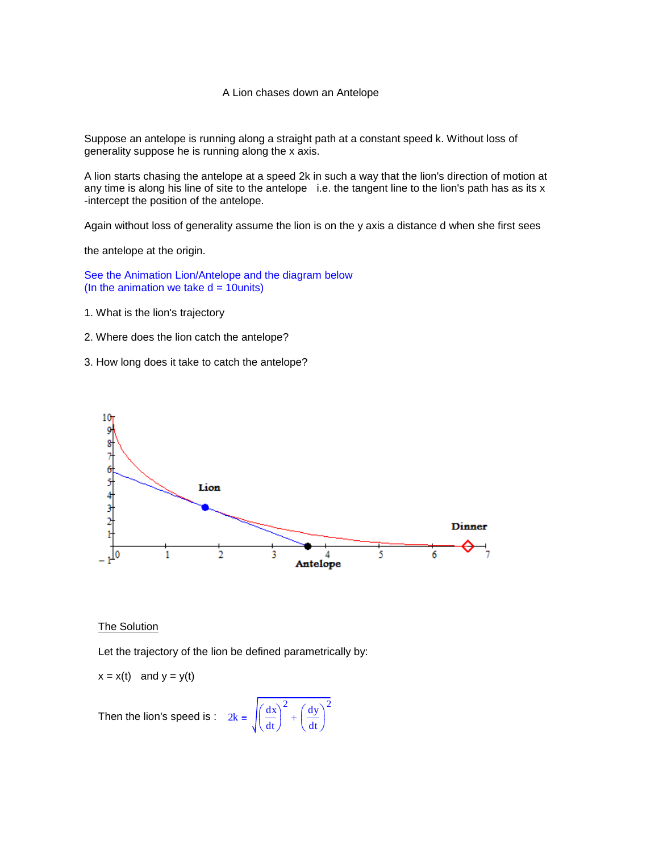## A Lion chases down an Antelope

Suppose an antelope is running along a straight path at a constant speed k. Without loss of generality suppose he is running along the x axis.

A lion starts chasing the antelope at a speed 2k in such a way that the lion's direction of motion at any time is along his line of site to the antelope i.e. the tangent line to the lion's path has as its  $x$ -intercept the position of the antelope.

Again without loss of generality assume the lion is on the y axis a distance d when she first sees

the antelope at the origin.

See the Animation Lion/Antelope and the diagram below (In the animation we take  $d = 10$ units)

- 1. What is the lion's trajectory
- 2. Where does the lion catch the antelope?
- 3. How long does it take to catch the antelope?



## **The Solution**

Let the trajectory of the lion be defined parametrically by:

dt  $\Big($  $\bigg)$  <sup>2</sup> (dy

 $\ddot{}$ 

dt  $\Big($  $\bigg)$ 2

$$
x = x(t) \quad \text{and } y = y(t)
$$

Then the lion's speed is :  $2k = \sqrt{\frac{dx}{dt}}$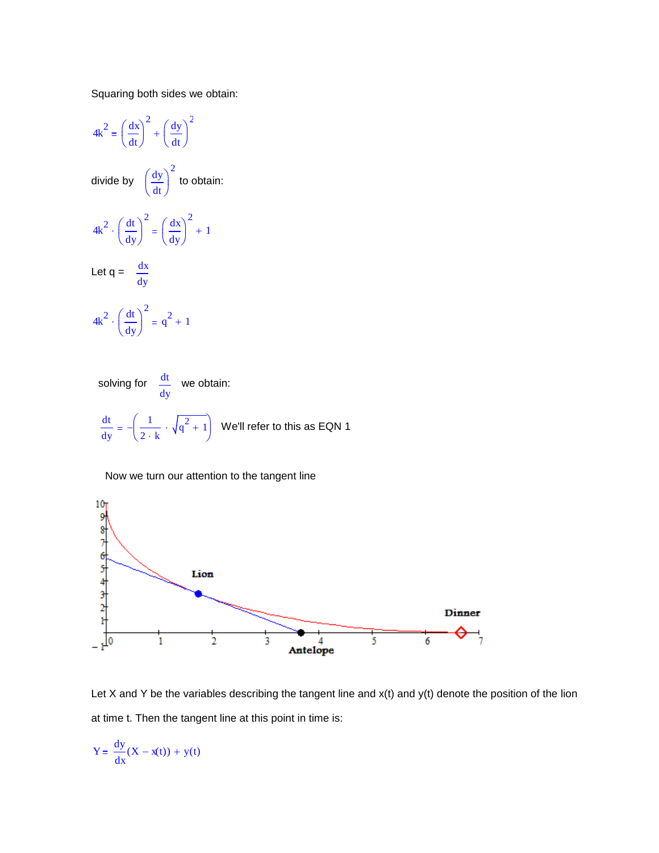Squaring both sides we obtain:

$$
4k^2 = \left(\frac{dx}{dt}\right)^2 + \left(\frac{dy}{dt}\right)^2
$$
  
divide by  $\left(\frac{dy}{dt}\right)^2$  to obtain:  

$$
4k^2 \cdot \left(\frac{dt}{dy}\right)^2 = \left(\frac{dx}{dy}\right)^2 + 1
$$
  
Let  $q = \frac{dx}{dy}$   

$$
4k^2 \cdot \left(\frac{dt}{dy}\right)^2 = q^2 + 1
$$
  
solving for  $\frac{dt}{dy}$  we obtain:

dt dy 1  $\left(\frac{1}{2+k}\cdot\sqrt{q^2+1}\right)$  $\setminus$  $\big)$ J  $\frac{1}{\sqrt{q^2+1}}$  We'll refer to this as EQN 1

 $10<sub>1</sub>$ 9 8 7 6 5 4 3 2 1 1 0 Lion Dinner  $\bar{2}$  $4$ <br>Antelope 5  $\ddot{\mathbf{6}}$  $\mathbf 1$ 3

Now we turn our attention to the tangent line



$$
Y = \frac{dy}{dx}(X - x(t)) + y(t)
$$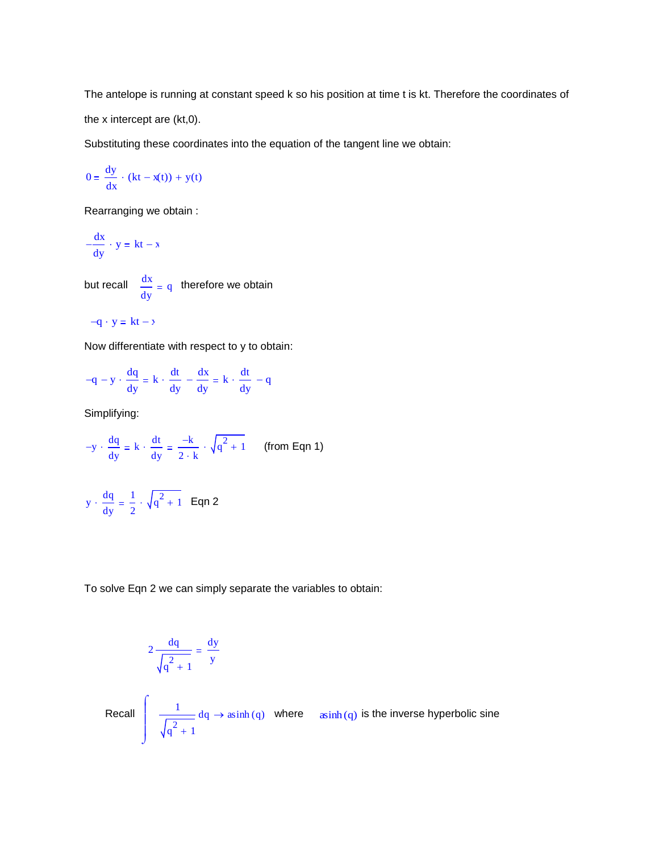The antelope is running at constant speed k so his position at time t is kt. Therefore the coordinates of the x intercept are (kt,0).

Substituting these coordinates into the equation of the tangent line we obtain:

$$
0 = \frac{dy}{dx} \cdot (kt - x(t)) + y(t)
$$

Rearranging we obtain :

$$
-\frac{dx}{dy} \cdot y = kt - x
$$

but recall  $\frac{dx}{dx}$ dy q therefore we obtain

$$
-q \cdot y = kt - x
$$

Now differentiate with respect to y to obtain:

$$
-q - y \cdot \frac{dq}{dy} = k \cdot \frac{dt}{dy} - \frac{dx}{dy} = k \cdot \frac{dt}{dy} - q
$$

Simplifying:

$$
-y \cdot \frac{dq}{dy} = k \cdot \frac{dt}{dy} = \frac{-k}{2 \cdot k} \cdot \sqrt{q^2 + 1} \qquad \text{(from Eqn 1)}
$$

$$
y \cdot \frac{dq}{dy} = \frac{1}{2} \cdot \sqrt{q^2 + 1} \quad \text{Eqn 2}
$$

To solve Eqn 2 we can simply separate the variables to obtain:

$$
2\frac{dq}{\sqrt{q^2 + 1}} = \frac{dy}{y}
$$
  
Recall 
$$
\int \frac{1}{\sqrt{q^2 + 1}} dq \to \operatorname{asinh}(q)
$$
 where  $\operatorname{asinh}(q)$  is the inverse hyperbolic sine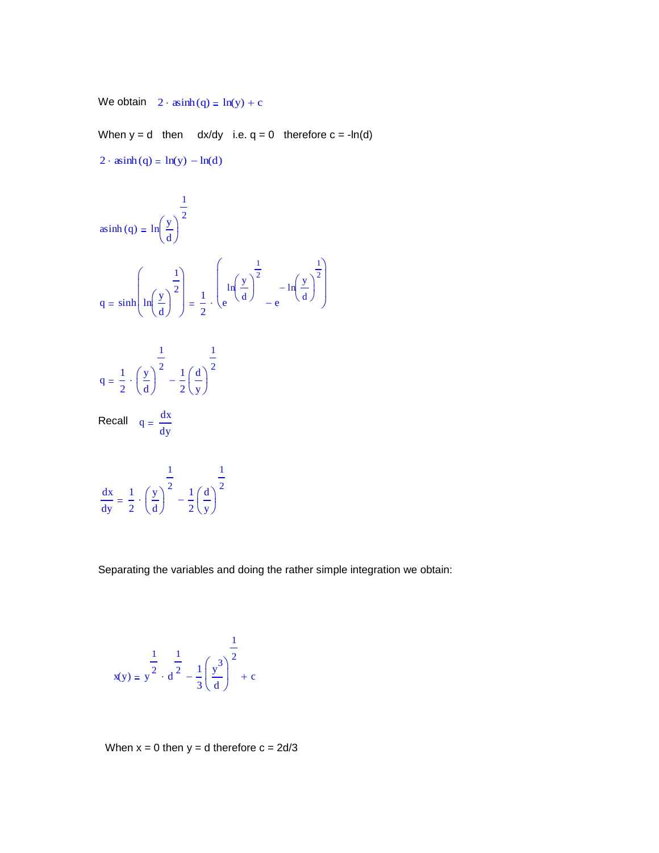We obtain  $2 \cdot \operatorname{asinh}(q) = \ln(y) + c$ 

When  $y = d$  then  $dx/dy$  i.e.  $q = 0$  therefore  $c = -\ln(d)$  $2 \cdot$  asinh (q) = ln(y)  $-\ln(d)$ 

$$
a\sinh(q) = \ln\left(\frac{y}{d}\right)^{\frac{1}{2}}
$$
  

$$
q = \sinh\left(\ln\left(\frac{y}{d}\right)^{\frac{1}{2}}\right) = \frac{1}{2} \cdot \left(\ln\left(\frac{y}{d}\right)^{\frac{1}{2}} - \ln\left(\frac{y}{d}\right)^{\frac{1}{2}}\right)
$$
  

$$
q = \frac{1}{2} \cdot \left(\frac{y}{d}\right)^{\frac{1}{2}} - \frac{1}{2}\left(\frac{d}{y}\right)^{\frac{1}{2}}
$$

Recall  $q = \frac{dx}{dt}$ dy

$$
\frac{dx}{dy} = \frac{1}{2} \cdot \left(\frac{y}{d}\right)^{\frac{1}{2}} - \frac{1}{2}\left(\frac{d}{y}\right)^{\frac{1}{2}}
$$

Separating the variables and doing the rather simple integration we obtain:

$$
x(y) = y^{\frac{1}{2}} \cdot \frac{1}{d^{\frac{1}{2}}} - \frac{1}{3} \left(\frac{y^3}{d}\right)^{\frac{1}{2}} + c
$$

When  $x = 0$  then  $y = d$  therefore  $c = 2d/3$